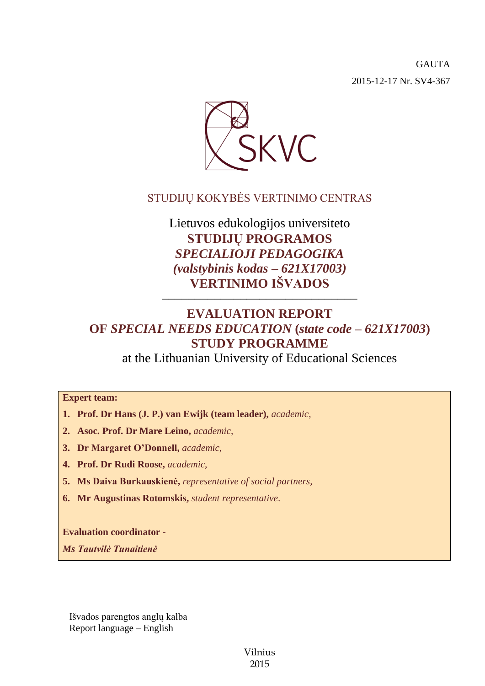GAUTA 2015-12-17 Nr. SV4-367



## STUDIJŲ KOKYBĖS VERTINIMO CENTRAS

Lietuvos edukologijos universiteto **STUDIJŲ PROGRAMOS** *SPECIALIOJI PEDAGOGIKA (valstybinis kodas – 621X17003)* **VERTINIMO IŠVADOS**

# **EVALUATION REPORT OF** *SPECIAL NEEDS EDUCATION* **(***state code – 621X17003***) STUDY PROGRAMME**

––––––––––––––––––––––––––––––

at the Lithuanian University of Educational Sciences

## **Expert team:**

- **1. Prof. Dr Hans (J. P.) van Ewijk (team leader),** *academic,*
- **2. Asoc. Prof. Dr Mare Leino,** *academic,*
- **3. Dr Margaret O'Donnell,** *academic,*
- **4. Prof. Dr Rudi Roose,** *academic,*
- **5. Ms Daiva Burkauskienė,** *representative of social partners,*
- **6. Mr Augustinas Rotomskis,** *student representative*.

**Evaluation coordinator -**

*Ms Tautvilė Tunaitienė*

Išvados parengtos anglų kalba Report language – English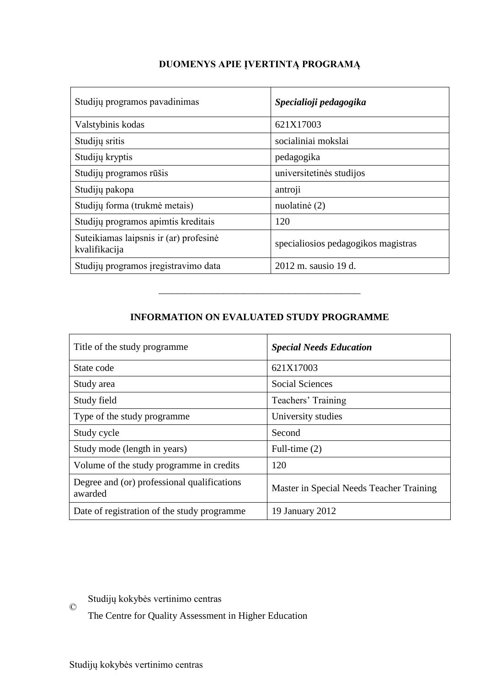| Studijų programos pavadinimas                           | Specialioji pedagogika              |  |
|---------------------------------------------------------|-------------------------------------|--|
| Valstybinis kodas                                       | 621X17003                           |  |
| Studijų sritis                                          | socialiniai mokslai                 |  |
| Studijų kryptis                                         | pedagogika                          |  |
| Studijų programos rūšis                                 | universitetinės studijos            |  |
| Studijų pakopa                                          | antroji                             |  |
| Studijų forma (trukmė metais)                           | nuolatinė (2)                       |  |
| Studijų programos apimtis kreditais                     | 120                                 |  |
| Suteikiamas laipsnis ir (ar) profesinė<br>kvalifikacija | specialiosios pedagogikos magistras |  |
| Studijų programos įregistravimo data                    | 2012 m. sausio 19 d.                |  |

## **DUOMENYS APIE ĮVERTINTĄ PROGRAMĄ**

## **INFORMATION ON EVALUATED STUDY PROGRAMME**

–––––––––––––––––––––––––––––––

| Title of the study programme.                          | <b>Special Needs Education</b>           |
|--------------------------------------------------------|------------------------------------------|
| State code                                             | 621X17003                                |
| Study area                                             | <b>Social Sciences</b>                   |
| Study field                                            | Teachers' Training                       |
| Type of the study programme                            | University studies                       |
| Study cycle                                            | Second                                   |
| Study mode (length in years)                           | Full-time $(2)$                          |
| Volume of the study programme in credits               | 120                                      |
| Degree and (or) professional qualifications<br>awarded | Master in Special Needs Teacher Training |
| Date of registration of the study programme            | 19 January 2012                          |

Studijų kokybės vertinimo centras

The Centre for Quality Assessment in Higher Education

©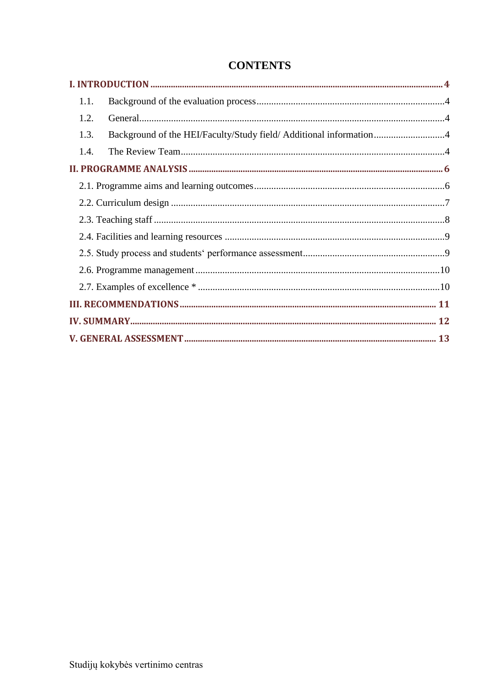| 1.1.                                                                       |  |
|----------------------------------------------------------------------------|--|
| 1.2.                                                                       |  |
| Background of the HEI/Faculty/Study field/ Additional information4<br>1.3. |  |
| 1.4.                                                                       |  |
|                                                                            |  |
|                                                                            |  |
|                                                                            |  |
|                                                                            |  |
|                                                                            |  |
|                                                                            |  |
|                                                                            |  |
|                                                                            |  |
|                                                                            |  |
|                                                                            |  |
|                                                                            |  |

## **CONTENTS**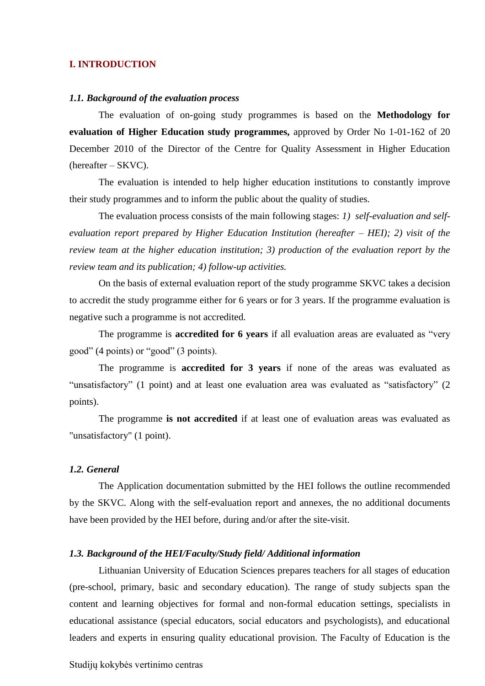### <span id="page-3-0"></span>**I. INTRODUCTION**

#### <span id="page-3-1"></span>*1.1. Background of the evaluation process*

The evaluation of on-going study programmes is based on the **Methodology for evaluation of Higher Education study programmes,** approved by Order No 1-01-162 of 20 December 2010 of the Director of the Centre for Quality Assessment in Higher Education (hereafter – SKVC).

The evaluation is intended to help higher education institutions to constantly improve their study programmes and to inform the public about the quality of studies.

The evaluation process consists of the main following stages: *1) self-evaluation and selfevaluation report prepared by Higher Education Institution (hereafter – HEI); 2) visit of the review team at the higher education institution; 3) production of the evaluation report by the review team and its publication; 4) follow-up activities.* 

On the basis of external evaluation report of the study programme SKVC takes a decision to accredit the study programme either for 6 years or for 3 years. If the programme evaluation is negative such a programme is not accredited.

The programme is **accredited for 6 years** if all evaluation areas are evaluated as "very good" (4 points) or "good" (3 points).

The programme is **accredited for 3 years** if none of the areas was evaluated as "unsatisfactory" (1 point) and at least one evaluation area was evaluated as "satisfactory" (2 points).

The programme **is not accredited** if at least one of evaluation areas was evaluated as "unsatisfactory" (1 point).

## <span id="page-3-2"></span>*1.2. General*

The Application documentation submitted by the HEI follows the outline recommended by the SKVC. Along with the self-evaluation report and annexes, the no additional documents have been provided by the HEI before, during and/or after the site-visit.

#### <span id="page-3-3"></span>*1.3. Background of the HEI/Faculty/Study field/ Additional information*

<span id="page-3-4"></span>Lithuanian University of Education Sciences prepares teachers for all stages of education (pre-school, primary, basic and secondary education). The range of study subjects span the content and learning objectives for formal and non-formal education settings, specialists in educational assistance (special educators, social educators and psychologists), and educational leaders and experts in ensuring quality educational provision. The Faculty of Education is the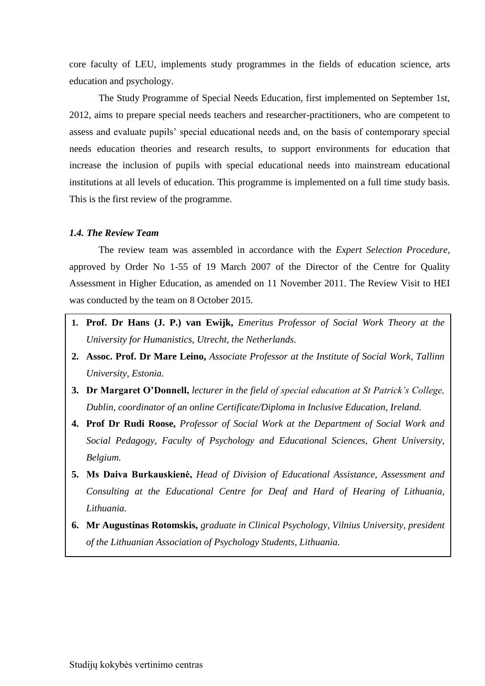core faculty of LEU, implements study programmes in the fields of education science, arts education and psychology.

The Study Programme of Special Needs Education, first implemented on September 1st, 2012, aims to prepare special needs teachers and researcher-practitioners, who are competent to assess and evaluate pupils' special educational needs and, on the basis of contemporary special needs education theories and research results, to support environments for education that increase the inclusion of pupils with special educational needs into mainstream educational institutions at all levels of education. This programme is implemented on a full time study basis. This is the first review of the programme.

### *1.4. The Review Team*

The review team was assembled in accordance with the *Expert Selection Procedure*, approved by Order No 1-55 of 19 March 2007 of the Director of the Centre for Quality Assessment in Higher Education, as amended on 11 November 2011. The Review Visit to HEI was conducted by the team on 8 October 2015.

- **1. Prof. Dr Hans (J. P.) van Ewijk,** *Emeritus Professor of Social Work Theory at the University for Humanistics, Utrecht, the Netherlands.*
- **2. Assoc. Prof. Dr Mare Leino,** *Associate Professor at the Institute of Social Work, Tallinn University, Estonia.*
- **3. Dr Margaret O'Donnell,** *lecturer in the field of special education at St Patrick's College, Dublin, coordinator of an online Certificate/Diploma in Inclusive Education, Ireland.*
- <span id="page-4-0"></span>**4. Prof Dr Rudi Roose,** *Professor of Social Work at the Department of Social Work and Social Pedagogy, Faculty of Psychology and Educational Sciences, Ghent University, Belgium.*
- **5. Ms Daiva Burkauskienė,** *Head of Division of Educational Assistance, Assessment and Consulting at the Educational Centre for Deaf and Hard of Hearing of Lithuania, Lithuania.*
- **6. Mr Augustinas Rotomskis,** *graduate in Clinical Psychology, Vilnius University, president of the Lithuanian Association of Psychology Students, Lithuania.*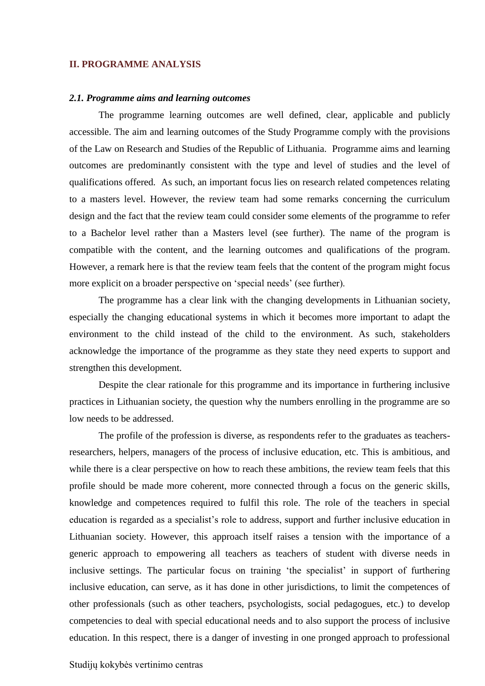### <span id="page-5-0"></span>**II. PROGRAMME ANALYSIS**

#### *2.1. Programme aims and learning outcomes*

The programme learning outcomes are well defined, clear, applicable and publicly accessible. The aim and learning outcomes of the Study Programme comply with the provisions of the Law on Research and Studies of the Republic of Lithuania. Programme aims and learning outcomes are predominantly consistent with the type and level of studies and the level of qualifications offered. As such, an important focus lies on research related competences relating to a masters level. However, the review team had some remarks concerning the curriculum design and the fact that the review team could consider some elements of the programme to refer to a Bachelor level rather than a Masters level (see further). The name of the program is compatible with the content, and the learning outcomes and qualifications of the program. However, a remark here is that the review team feels that the content of the program might focus more explicit on a broader perspective on 'special needs' (see further).

The programme has a clear link with the changing developments in Lithuanian society, especially the changing educational systems in which it becomes more important to adapt the environment to the child instead of the child to the environment. As such, stakeholders acknowledge the importance of the programme as they state they need experts to support and strengthen this development.

Despite the clear rationale for this programme and its importance in furthering inclusive practices in Lithuanian society, the question why the numbers enrolling in the programme are so low needs to be addressed.

The profile of the profession is diverse, as respondents refer to the graduates as teachersresearchers, helpers, managers of the process of inclusive education, etc. This is ambitious, and while there is a clear perspective on how to reach these ambitions, the review team feels that this profile should be made more coherent, more connected through a focus on the generic skills, knowledge and competences required to fulfil this role. The role of the teachers in special education is regarded as a specialist's role to address, support and further inclusive education in Lithuanian society. However, this approach itself raises a tension with the importance of a generic approach to empowering all teachers as teachers of student with diverse needs in inclusive settings. The particular focus on training 'the specialist' in support of furthering inclusive education, can serve, as it has done in other jurisdictions, to limit the competences of other professionals (such as other teachers, psychologists, social pedagogues, etc.) to develop competencies to deal with special educational needs and to also support the process of inclusive education. In this respect, there is a danger of investing in one pronged approach to professional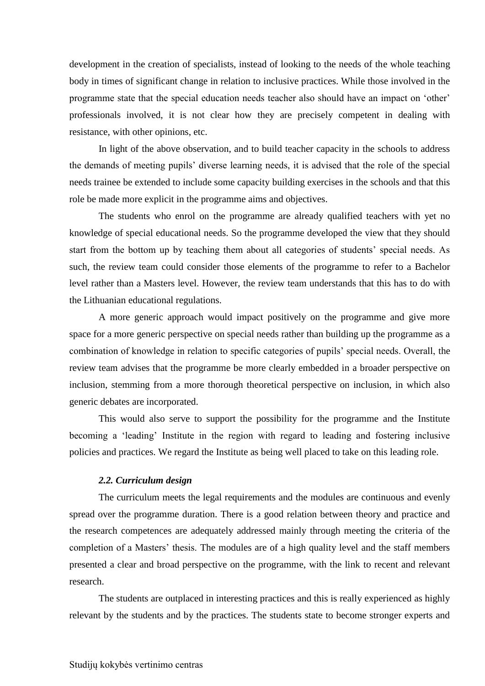development in the creation of specialists, instead of looking to the needs of the whole teaching body in times of significant change in relation to inclusive practices. While those involved in the programme state that the special education needs teacher also should have an impact on 'other' professionals involved, it is not clear how they are precisely competent in dealing with resistance, with other opinions, etc.

In light of the above observation, and to build teacher capacity in the schools to address the demands of meeting pupils' diverse learning needs, it is advised that the role of the special needs trainee be extended to include some capacity building exercises in the schools and that this role be made more explicit in the programme aims and objectives.

The students who enrol on the programme are already qualified teachers with yet no knowledge of special educational needs. So the programme developed the view that they should start from the bottom up by teaching them about all categories of students' special needs. As such, the review team could consider those elements of the programme to refer to a Bachelor level rather than a Masters level. However, the review team understands that this has to do with the Lithuanian educational regulations.

A more generic approach would impact positively on the programme and give more space for a more generic perspective on special needs rather than building up the programme as a combination of knowledge in relation to specific categories of pupils' special needs. Overall, the review team advises that the programme be more clearly embedded in a broader perspective on inclusion, stemming from a more thorough theoretical perspective on inclusion, in which also generic debates are incorporated.

This would also serve to support the possibility for the programme and the Institute becoming a 'leading' Institute in the region with regard to leading and fostering inclusive policies and practices. We regard the Institute as being well placed to take on this leading role.

### *2.2. Curriculum design*

<span id="page-6-0"></span>The curriculum meets the legal requirements and the modules are continuous and evenly spread over the programme duration. There is a good relation between theory and practice and the research competences are adequately addressed mainly through meeting the criteria of the completion of a Masters' thesis. The modules are of a high quality level and the staff members presented a clear and broad perspective on the programme, with the link to recent and relevant research.

The students are outplaced in interesting practices and this is really experienced as highly relevant by the students and by the practices. The students state to become stronger experts and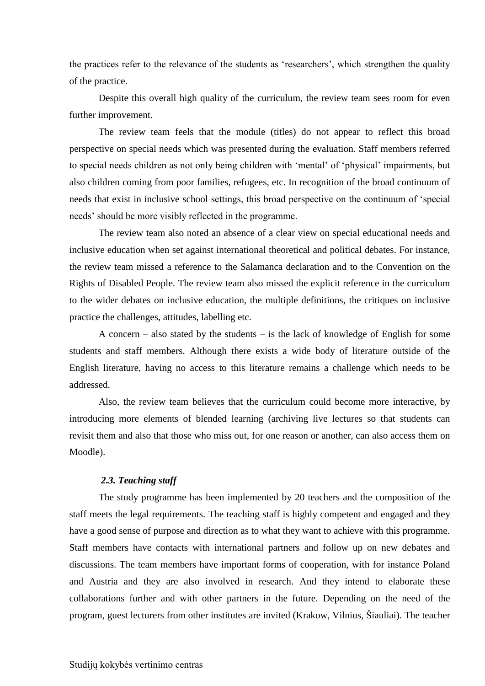the practices refer to the relevance of the students as 'researchers', which strengthen the quality of the practice.

Despite this overall high quality of the curriculum, the review team sees room for even further improvement.

The review team feels that the module (titles) do not appear to reflect this broad perspective on special needs which was presented during the evaluation. Staff members referred to special needs children as not only being children with 'mental' of 'physical' impairments, but also children coming from poor families, refugees, etc. In recognition of the broad continuum of needs that exist in inclusive school settings, this broad perspective on the continuum of 'special needs' should be more visibly reflected in the programme.

The review team also noted an absence of a clear view on special educational needs and inclusive education when set against international theoretical and political debates. For instance, the review team missed a reference to the Salamanca declaration and to the Convention on the Rights of Disabled People. The review team also missed the explicit reference in the curriculum to the wider debates on inclusive education, the multiple definitions, the critiques on inclusive practice the challenges, attitudes, labelling etc.

A concern – also stated by the students – is the lack of knowledge of English for some students and staff members. Although there exists a wide body of literature outside of the English literature, having no access to this literature remains a challenge which needs to be addressed.

Also, the review team believes that the curriculum could become more interactive, by introducing more elements of blended learning (archiving live lectures so that students can revisit them and also that those who miss out, for one reason or another, can also access them on Moodle).

## <span id="page-7-0"></span>*2.3. Teaching staff*

The study programme has been implemented by 20 teachers and the composition of the staff meets the legal requirements. The teaching staff is highly competent and engaged and they have a good sense of purpose and direction as to what they want to achieve with this programme. Staff members have contacts with international partners and follow up on new debates and discussions. The team members have important forms of cooperation, with for instance Poland and Austria and they are also involved in research. And they intend to elaborate these collaborations further and with other partners in the future. Depending on the need of the program, guest lecturers from other institutes are invited (Krakow, Vilnius, Šiauliai). The teacher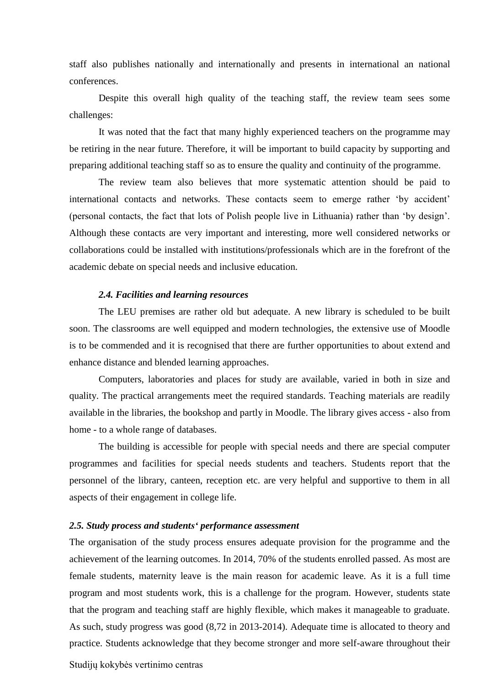staff also publishes nationally and internationally and presents in international an national conferences.

Despite this overall high quality of the teaching staff, the review team sees some challenges:

It was noted that the fact that many highly experienced teachers on the programme may be retiring in the near future. Therefore, it will be important to build capacity by supporting and preparing additional teaching staff so as to ensure the quality and continuity of the programme.

The review team also believes that more systematic attention should be paid to international contacts and networks. These contacts seem to emerge rather 'by accident' (personal contacts, the fact that lots of Polish people live in Lithuania) rather than 'by design'. Although these contacts are very important and interesting, more well considered networks or collaborations could be installed with institutions/professionals which are in the forefront of the academic debate on special needs and inclusive education.

#### *2.4. Facilities and learning resources*

<span id="page-8-0"></span>The LEU premises are rather old but adequate. A new library is scheduled to be built soon. The classrooms are well equipped and modern technologies, the extensive use of Moodle is to be commended and it is recognised that there are further opportunities to about extend and enhance distance and blended learning approaches.

Computers, laboratories and places for study are available, varied in both in size and quality. The practical arrangements meet the required standards. Teaching materials are readily available in the libraries, the bookshop and partly in Moodle. The library gives access - also from home - to a whole range of databases.

The building is accessible for people with special needs and there are special computer programmes and facilities for special needs students and teachers. Students report that the personnel of the library, canteen, reception etc. are very helpful and supportive to them in all aspects of their engagement in college life.

## <span id="page-8-1"></span>*2.5. Study process and students' performance assessment*

The organisation of the study process ensures adequate provision for the programme and the achievement of the learning outcomes. In 2014, 70% of the students enrolled passed. As most are female students, maternity leave is the main reason for academic leave. As it is a full time program and most students work, this is a challenge for the program. However, students state that the program and teaching staff are highly flexible, which makes it manageable to graduate. As such, study progress was good (8,72 in 2013-2014). Adequate time is allocated to theory and practice. Students acknowledge that they become stronger and more self-aware throughout their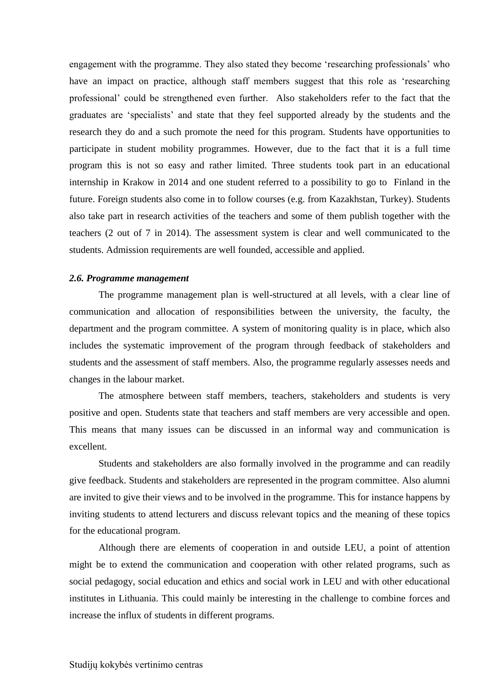engagement with the programme. They also stated they become 'researching professionals' who have an impact on practice, although staff members suggest that this role as 'researching professional' could be strengthened even further. Also stakeholders refer to the fact that the graduates are 'specialists' and state that they feel supported already by the students and the research they do and a such promote the need for this program. Students have opportunities to participate in student mobility programmes. However, due to the fact that it is a full time program this is not so easy and rather limited. Three students took part in an educational internship in Krakow in 2014 and one student referred to a possibility to go to Finland in the future. Foreign students also come in to follow courses (e.g. from Kazakhstan, Turkey). Students also take part in research activities of the teachers and some of them publish together with the teachers (2 out of 7 in 2014). The assessment system is clear and well communicated to the students. Admission requirements are well founded, accessible and applied.

#### <span id="page-9-0"></span>*2.6. Programme management*

The programme management plan is well-structured at all levels, with a clear line of communication and allocation of responsibilities between the university, the faculty, the department and the program committee. A system of monitoring quality is in place, which also includes the systematic improvement of the program through feedback of stakeholders and students and the assessment of staff members. Also, the programme regularly assesses needs and changes in the labour market.

The atmosphere between staff members, teachers, stakeholders and students is very positive and open. Students state that teachers and staff members are very accessible and open. This means that many issues can be discussed in an informal way and communication is excellent.

Students and stakeholders are also formally involved in the programme and can readily give feedback. Students and stakeholders are represented in the program committee. Also alumni are invited to give their views and to be involved in the programme. This for instance happens by inviting students to attend lecturers and discuss relevant topics and the meaning of these topics for the educational program.

<span id="page-9-1"></span>Although there are elements of cooperation in and outside LEU, a point of attention might be to extend the communication and cooperation with other related programs, such as social pedagogy, social education and ethics and social work in LEU and with other educational institutes in Lithuania. This could mainly be interesting in the challenge to combine forces and increase the influx of students in different programs.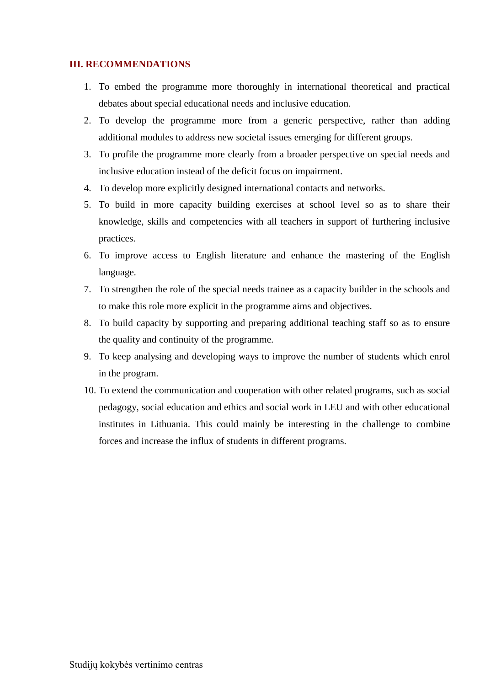## <span id="page-10-0"></span>**III. RECOMMENDATIONS**

- 1. To embed the programme more thoroughly in international theoretical and practical debates about special educational needs and inclusive education.
- 2. To develop the programme more from a generic perspective, rather than adding additional modules to address new societal issues emerging for different groups.
- 3. To profile the programme more clearly from a broader perspective on special needs and inclusive education instead of the deficit focus on impairment.
- 4. To develop more explicitly designed international contacts and networks.
- 5. To build in more capacity building exercises at school level so as to share their knowledge, skills and competencies with all teachers in support of furthering inclusive practices.
- 6. To improve access to English literature and enhance the mastering of the English language.
- 7. To strengthen the role of the special needs trainee as a capacity builder in the schools and to make this role more explicit in the programme aims and objectives.
- 8. To build capacity by supporting and preparing additional teaching staff so as to ensure the quality and continuity of the programme.
- 9. To keep analysing and developing ways to improve the number of students which enrol in the program.
- 10. To extend the communication and cooperation with other related programs, such as social pedagogy, social education and ethics and social work in LEU and with other educational institutes in Lithuania. This could mainly be interesting in the challenge to combine forces and increase the influx of students in different programs.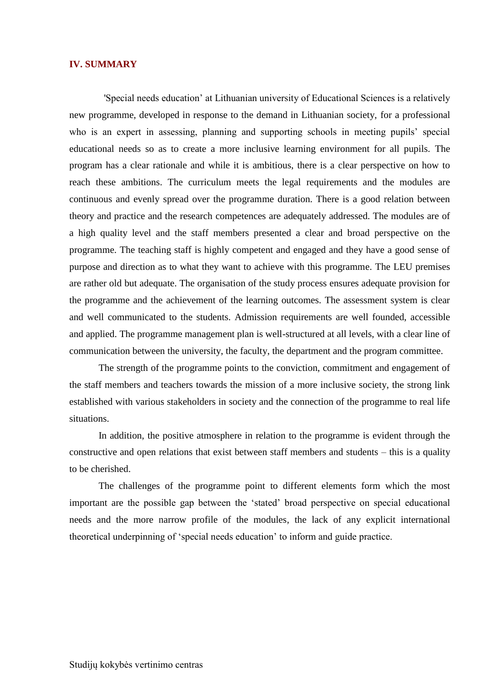#### <span id="page-11-0"></span>**IV. SUMMARY**

'Special needs education' at Lithuanian university of Educational Sciences is a relatively new programme, developed in response to the demand in Lithuanian society, for a professional who is an expert in assessing, planning and supporting schools in meeting pupils' special educational needs so as to create a more inclusive learning environment for all pupils. The program has a clear rationale and while it is ambitious, there is a clear perspective on how to reach these ambitions. The curriculum meets the legal requirements and the modules are continuous and evenly spread over the programme duration. There is a good relation between theory and practice and the research competences are adequately addressed. The modules are of a high quality level and the staff members presented a clear and broad perspective on the programme. The teaching staff is highly competent and engaged and they have a good sense of purpose and direction as to what they want to achieve with this programme. The LEU premises are rather old but adequate. The organisation of the study process ensures adequate provision for the programme and the achievement of the learning outcomes. The assessment system is clear and well communicated to the students. Admission requirements are well founded, accessible and applied. The programme management plan is well-structured at all levels, with a clear line of communication between the university, the faculty, the department and the program committee.

The strength of the programme points to the conviction, commitment and engagement of the staff members and teachers towards the mission of a more inclusive society, the strong link established with various stakeholders in society and the connection of the programme to real life situations.

In addition, the positive atmosphere in relation to the programme is evident through the constructive and open relations that exist between staff members and students – this is a quality to be cherished.

The challenges of the programme point to different elements form which the most important are the possible gap between the 'stated' broad perspective on special educational needs and the more narrow profile of the modules, the lack of any explicit international theoretical underpinning of 'special needs education' to inform and guide practice.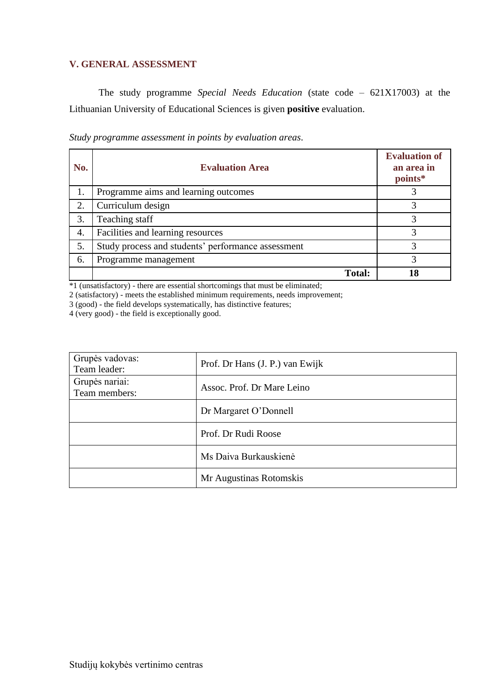## <span id="page-12-0"></span>**V. GENERAL ASSESSMENT**

The study programme *Special Needs Education* (state code – 621X17003) at the Lithuanian University of Educational Sciences is given **positive** evaluation.

|  |  | Study programme assessment in points by evaluation areas. |  |
|--|--|-----------------------------------------------------------|--|
|  |  |                                                           |  |

| No. | <b>Evaluation Area</b>                             | <b>Evaluation of</b><br>an area in<br>points* |
|-----|----------------------------------------------------|-----------------------------------------------|
|     | Programme aims and learning outcomes               |                                               |
| 2.  | Curriculum design                                  |                                               |
| 3.  | Teaching staff                                     |                                               |
| 4.  | Facilities and learning resources                  | 3                                             |
| 5.  | Study process and students' performance assessment | 3                                             |
| 6.  | Programme management                               | 3                                             |
|     | Total:                                             |                                               |

\*1 (unsatisfactory) - there are essential shortcomings that must be eliminated;

2 (satisfactory) - meets the established minimum requirements, needs improvement;

3 (good) - the field develops systematically, has distinctive features;

4 (very good) - the field is exceptionally good.

| Grupės vadovas:<br>Team leader: | Prof. Dr Hans (J. P.) van Ewijk |  |
|---------------------------------|---------------------------------|--|
| Grupės nariai:<br>Team members: | Assoc. Prof. Dr Mare Leino      |  |
|                                 | Dr Margaret O'Donnell           |  |
|                                 | Prof. Dr Rudi Roose             |  |
|                                 | Ms Daiva Burkauskienė           |  |
|                                 | Mr Augustinas Rotomskis         |  |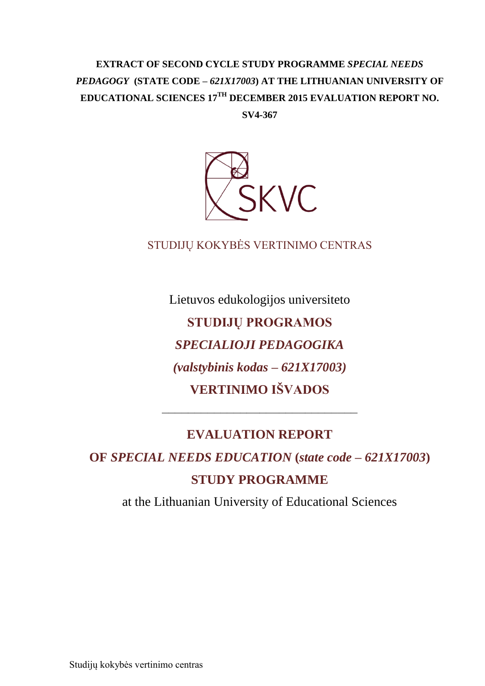# **EXTRACT OF SECOND CYCLE STUDY PROGRAMME** *SPECIAL NEEDS PEDAGOGY* **(STATE CODE –** *621X17003***) AT THE LITHUANIAN UNIVERSITY OF EDUCATIONAL SCIENCES 17TH DECEMBER 2015 EVALUATION REPORT NO.**

**SV4-367**



## STUDIJŲ KOKYBĖS VERTINIMO CENTRAS

Lietuvos edukologijos universiteto **STUDIJŲ PROGRAMOS**  *SPECIALIOJI PEDAGOGIKA (valstybinis kodas – 621X17003)* **VERTINIMO IŠVADOS**

# **EVALUATION REPORT**

––––––––––––––––––––––––––––––

**OF** *SPECIAL NEEDS EDUCATION* **(***state code – 621X17003***) STUDY PROGRAMME**

at the Lithuanian University of Educational Sciences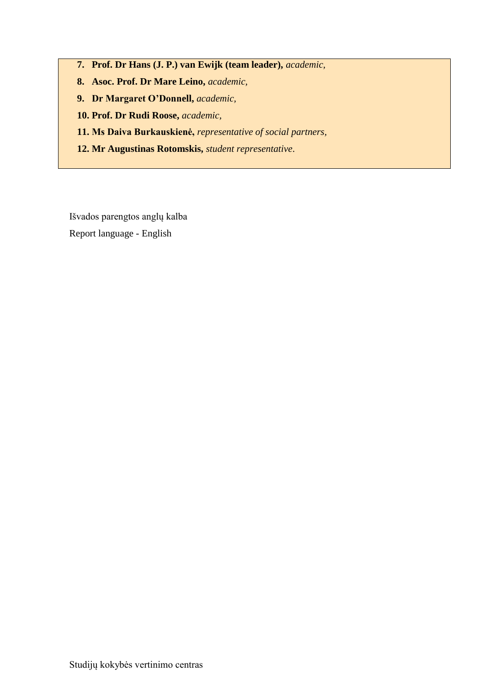- **7. Prof. Dr Hans (J. P.) van Ewijk (team leader),** *academic,*
- **8. Asoc. Prof. Dr Mare Leino,** *academic,*
- **9. Dr Margaret O'Donnell,** *academic,*
- **10. Prof. Dr Rudi Roose,** *academic,*
- **11. Ms Daiva Burkauskienė,** *representative of social partners,*
- **12. Mr Augustinas Rotomskis,** *student representative*.

Išvados parengtos anglų kalba

Report language - English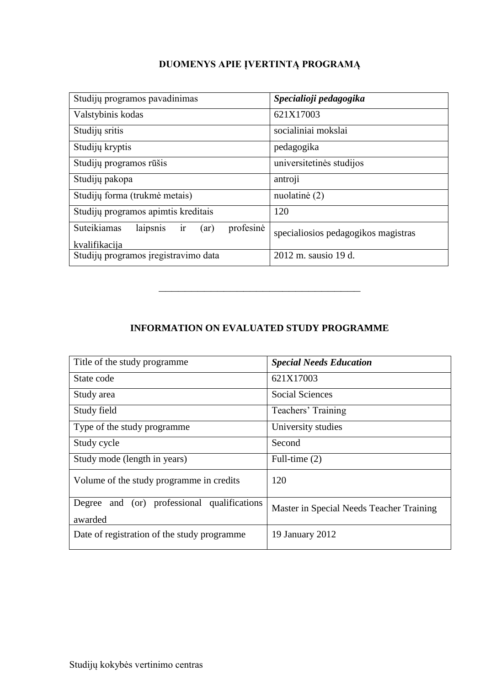# **DUOMENYS APIE ĮVERTINTĄ PROGRAMĄ**

| Studijų programos pavadinimas                      | Specialioji pedagogika              |
|----------------------------------------------------|-------------------------------------|
| Valstybinis kodas                                  | 621X17003                           |
| Studijų sritis                                     | socialiniai mokslai                 |
| Studijų kryptis                                    | pedagogika                          |
| Studijų programos rūšis                            | universitetinės studijos            |
| Studijų pakopa                                     | antroji                             |
| Studijų forma (trukmė metais)                      | nuolatinė (2)                       |
| Studijų programos apimtis kreditais                | 120                                 |
| Suteikiamas<br>profesinė<br>laipsnis<br>1r<br>(ar) | specialiosios pedagogikos magistras |
| kvalifikacija                                      |                                     |
| Studijų programos įregistravimo data               | 2012 m. sausio 19 d.                |

## **INFORMATION ON EVALUATED STUDY PROGRAMME**

–––––––––––––––––––––––––––––––

| Title of the study programme                              | <b>Special Needs Education</b>           |
|-----------------------------------------------------------|------------------------------------------|
| State code                                                | 621X17003                                |
| Study area                                                | <b>Social Sciences</b>                   |
| Study field                                               | Teachers' Training                       |
| Type of the study programme                               | University studies                       |
| Study cycle                                               | Second                                   |
| Study mode (length in years)                              | Full-time $(2)$                          |
| Volume of the study programme in credits                  | 120                                      |
| and (or) professional qualifications<br>Degree<br>awarded | Master in Special Needs Teacher Training |
| Date of registration of the study programme               | 19 January 2012                          |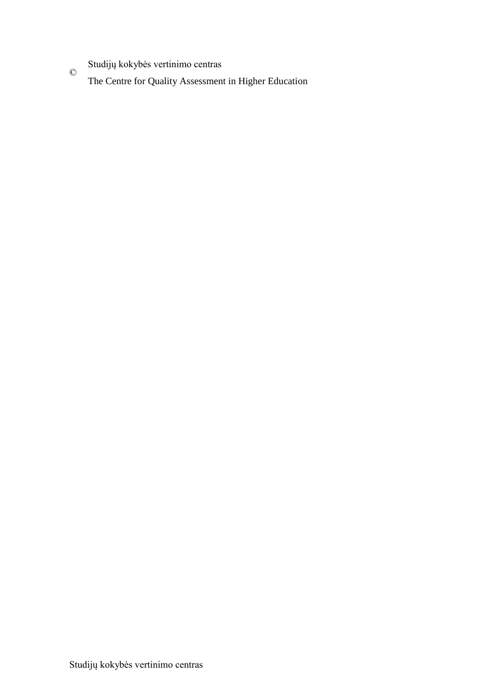Studijų kokybės vertinimo centras

 $\copyright$ The Centre for Quality Assessment in Higher Education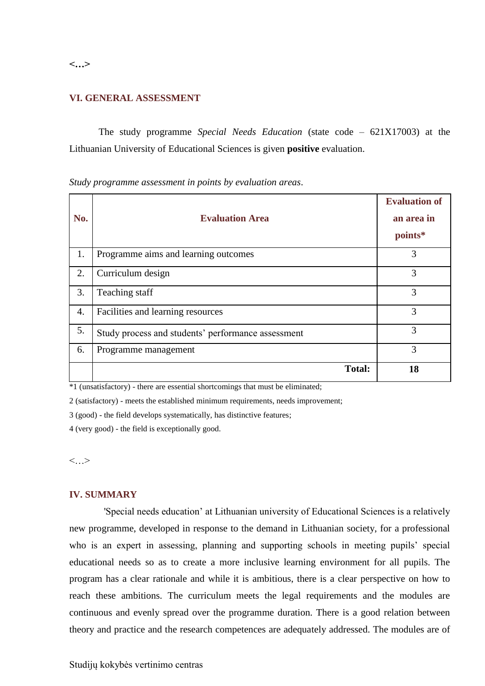**VI. GENERAL ASSESSMENT** 

The study programme *Special Needs Education* (state code – 621X17003) at the Lithuanian University of Educational Sciences is given **positive** evaluation.

**No. Evaluation Area Evaluation of an area in points\*** 1. Programme aims and learning outcomes 3 2. Curriculum design 3 3. Teaching staff  $\overline{3}$ 4. Facilities and learning resources 3 5. Study process and students' performance assessment 3 6. Programme management 3 **Total: 18**

*Study programme assessment in points by evaluation areas*.

 $*1$  (unsatisfactory) - there are essential shortcomings that must be eliminated;

2 (satisfactory) - meets the established minimum requirements, needs improvement;

3 (good) - the field develops systematically, has distinctive features;

4 (very good) - the field is exceptionally good.

 $\langle \cdot, \cdot \rangle$ 

## **IV. SUMMARY**

'Special needs education' at Lithuanian university of Educational Sciences is a relatively new programme, developed in response to the demand in Lithuanian society, for a professional who is an expert in assessing, planning and supporting schools in meeting pupils' special educational needs so as to create a more inclusive learning environment for all pupils. The program has a clear rationale and while it is ambitious, there is a clear perspective on how to reach these ambitions. The curriculum meets the legal requirements and the modules are continuous and evenly spread over the programme duration. There is a good relation between theory and practice and the research competences are adequately addressed. The modules are of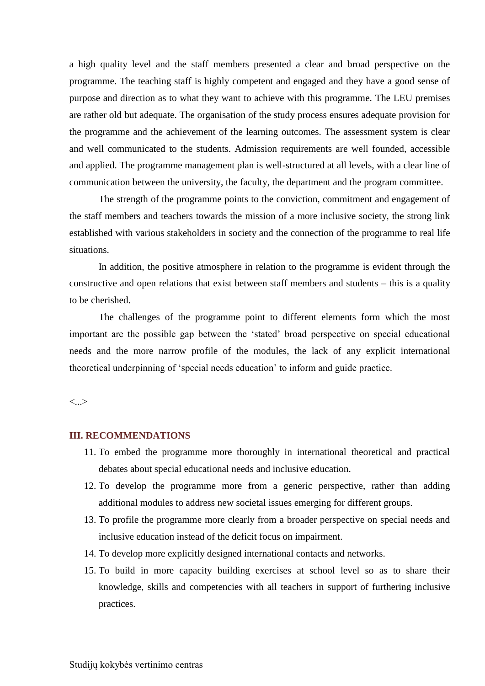a high quality level and the staff members presented a clear and broad perspective on the programme. The teaching staff is highly competent and engaged and they have a good sense of purpose and direction as to what they want to achieve with this programme. The LEU premises are rather old but adequate. The organisation of the study process ensures adequate provision for the programme and the achievement of the learning outcomes. The assessment system is clear and well communicated to the students. Admission requirements are well founded, accessible and applied. The programme management plan is well-structured at all levels, with a clear line of communication between the university, the faculty, the department and the program committee.

The strength of the programme points to the conviction, commitment and engagement of the staff members and teachers towards the mission of a more inclusive society, the strong link established with various stakeholders in society and the connection of the programme to real life situations.

In addition, the positive atmosphere in relation to the programme is evident through the constructive and open relations that exist between staff members and students – this is a quality to be cherished.

The challenges of the programme point to different elements form which the most important are the possible gap between the 'stated' broad perspective on special educational needs and the more narrow profile of the modules, the lack of any explicit international theoretical underpinning of 'special needs education' to inform and guide practice.

<...>

## **III. RECOMMENDATIONS**

- 11. To embed the programme more thoroughly in international theoretical and practical debates about special educational needs and inclusive education.
- 12. To develop the programme more from a generic perspective, rather than adding additional modules to address new societal issues emerging for different groups.
- 13. To profile the programme more clearly from a broader perspective on special needs and inclusive education instead of the deficit focus on impairment.
- 14. To develop more explicitly designed international contacts and networks.
- 15. To build in more capacity building exercises at school level so as to share their knowledge, skills and competencies with all teachers in support of furthering inclusive practices.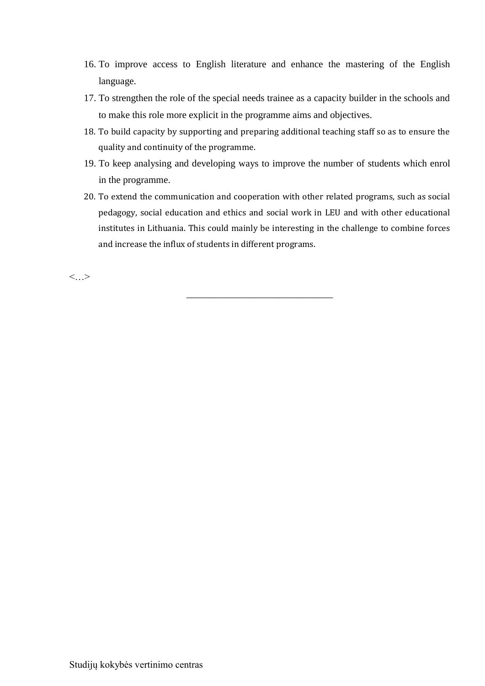- 16. To improve access to English literature and enhance the mastering of the English language.
- 17. To strengthen the role of the special needs trainee as a capacity builder in the schools and to make this role more explicit in the programme aims and objectives.
- 18. To build capacity by supporting and preparing additional teaching staff so as to ensure the quality and continuity of the programme.
- 19. To keep analysing and developing ways to improve the number of students which enrol in the programme.
- 20. To extend the communication and cooperation with other related programs, such as social pedagogy, social education and ethics and social work in LEU and with other educational institutes in Lithuania. This could mainly be interesting in the challenge to combine forces and increase the influx of students in different programs.

\_\_\_\_\_\_\_\_\_\_\_\_\_\_\_\_\_\_\_\_\_\_\_\_\_\_\_\_\_\_

 $\langle \cdot, \cdot \rangle$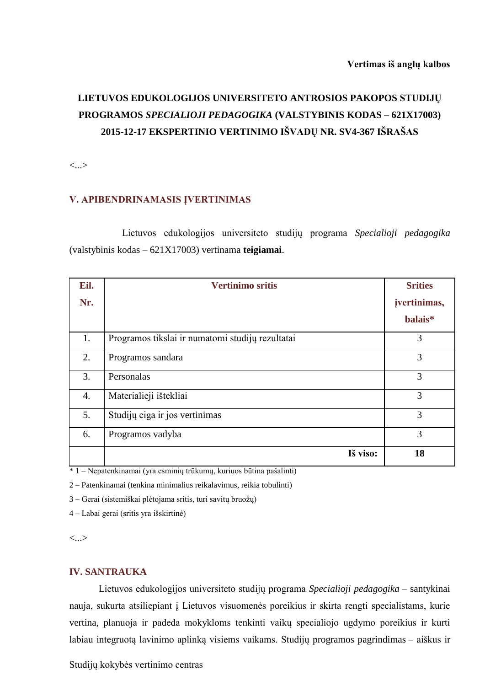# **LIETUVOS EDUKOLOGIJOS UNIVERSITETO ANTROSIOS PAKOPOS STUDIJŲ PROGRAMOS** *SPECIALIOJI PEDAGOGIKA* **(VALSTYBINIS KODAS – 621X17003) 2015-12-17 EKSPERTINIO VERTINIMO IŠVADŲ NR. SV4-367 IŠRAŠAS**

<...>

## **V. APIBENDRINAMASIS ĮVERTINIMAS**

Lietuvos edukologijos universiteto studijų programa *Specialioji pedagogika*  (valstybinis kodas – 621X17003) vertinama **teigiamai**.

| Eil. | <b>Vertinimo sritis</b>                          | <b>Srities</b> |
|------|--------------------------------------------------|----------------|
| Nr.  |                                                  | jvertinimas,   |
|      |                                                  | balais*        |
| 1.   | Programos tikslai ir numatomi studijų rezultatai | 3              |
| 2.   | Programos sandara                                | 3              |
| 3.   | Personalas                                       | 3              |
| 4.   | Materialieji ištekliai                           | 3              |
| 5.   | Studijų eiga ir jos vertinimas                   | 3              |
| 6.   | Programos vadyba                                 | 3              |
|      | Iš viso:                                         | 18             |

\* 1 – Nepatenkinamai (yra esminių trūkumų, kuriuos būtina pašalinti)

2 – Patenkinamai (tenkina minimalius reikalavimus, reikia tobulinti)

3 – Gerai (sistemiškai plėtojama sritis, turi savitų bruožų)

4 – Labai gerai (sritis yra išskirtinė)

<...>

### **IV. SANTRAUKA**

Lietuvos edukologijos universiteto studijų programa *Specialioji pedagogika* – santykinai nauja, sukurta atsiliepiant į Lietuvos visuomenės poreikius ir skirta rengti specialistams, kurie vertina, planuoja ir padeda mokykloms tenkinti vaikų specialiojo ugdymo poreikius ir kurti labiau integruotą lavinimo aplinką visiems vaikams. Studijų programos pagrindimas – aiškus ir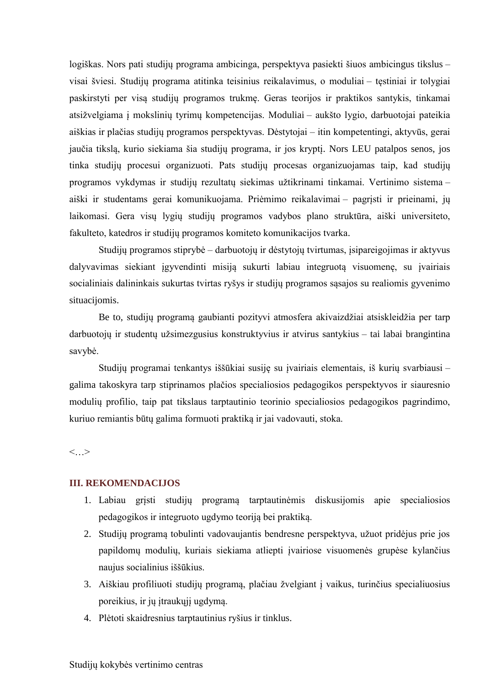logiškas. Nors pati studijų programa ambicinga, perspektyva pasiekti šiuos ambicingus tikslus – visai šviesi. Studijų programa atitinka teisinius reikalavimus, o moduliai – tęstiniai ir tolygiai paskirstyti per visą studijų programos trukmę. Geras teorijos ir praktikos santykis, tinkamai atsižvelgiama į mokslinių tyrimų kompetencijas. Moduliai – aukšto lygio, darbuotojai pateikia aiškias ir plačias studijų programos perspektyvas. Dėstytojai – itin kompetentingi, aktyvūs, gerai jaučia tikslą, kurio siekiama šia studijų programa, ir jos kryptį. Nors LEU patalpos senos, jos tinka studijų procesui organizuoti. Pats studijų procesas organizuojamas taip, kad studijų programos vykdymas ir studijų rezultatų siekimas užtikrinami tinkamai. Vertinimo sistema – aiški ir studentams gerai komunikuojama. Priėmimo reikalavimai – pagrįsti ir prieinami, jų laikomasi. Gera visų lygių studijų programos vadybos plano struktūra, aiški universiteto, fakulteto, katedros ir studijų programos komiteto komunikacijos tvarka.

Studijų programos stiprybė – darbuotojų ir dėstytojų tvirtumas, įsipareigojimas ir aktyvus dalyvavimas siekiant įgyvendinti misiją sukurti labiau integruotą visuomenę, su įvairiais socialiniais dalininkais sukurtas tvirtas ryšys ir studijų programos sąsajos su realiomis gyvenimo situacijomis.

Be to, studijų programą gaubianti pozityvi atmosfera akivaizdžiai atsiskleidžia per tarp darbuotojų ir studentų užsimezgusius konstruktyvius ir atvirus santykius – tai labai brangintina savybė.

Studijų programai tenkantys iššūkiai susiję su įvairiais elementais, iš kurių svarbiausi – galima takoskyra tarp stiprinamos plačios specialiosios pedagogikos perspektyvos ir siauresnio modulių profilio, taip pat tikslaus tarptautinio teorinio specialiosios pedagogikos pagrindimo, kuriuo remiantis būtų galima formuoti praktiką ir jai vadovauti, stoka.

<…>

## **III. REKOMENDACIJOS**

- 1. Labiau grįsti studijų programą tarptautinėmis diskusijomis apie specialiosios pedagogikos ir integruoto ugdymo teoriją bei praktiką.
- 2. Studijų programą tobulinti vadovaujantis bendresne perspektyva, užuot pridėjus prie jos papildomų modulių, kuriais siekiama atliepti įvairiose visuomenės grupėse kylančius naujus socialinius iššūkius.
- 3. Aiškiau profiliuoti studijų programą, plačiau žvelgiant į vaikus, turinčius specialiuosius poreikius, ir jų įtraukųjį ugdymą.
- 4. Plėtoti skaidresnius tarptautinius ryšius ir tinklus.